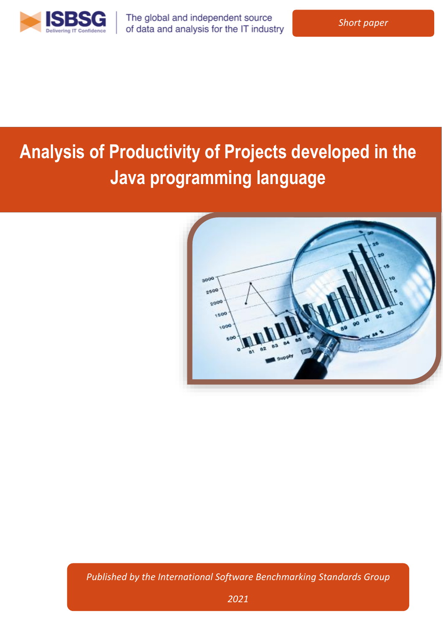

The global and independent source of data and analysis for the IT industry

# **Analysis of Productivity of Projects developed in the Java programming language**



*Published by the International Software Benchmarking Standards Group*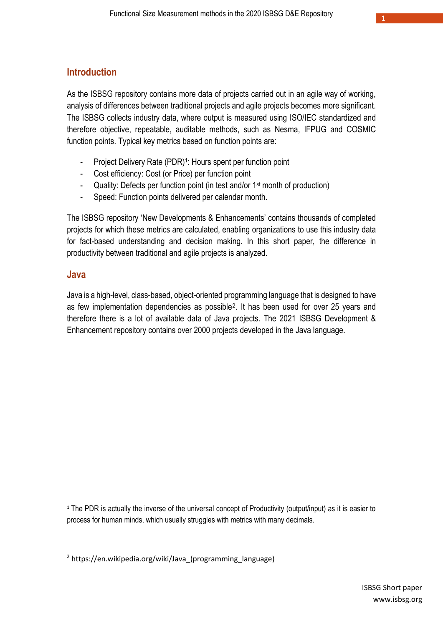### **Introduction**

As the ISBSG repository contains more data of projects carried out in an agile way of working, analysis of differences between traditional projects and agile projects becomes more significant. The ISBSG collects industry data, where output is measured using ISO/IEC standardized and therefore objective, repeatable, auditable methods, such as Nesma, IFPUG and COSMIC function points. Typical key metrics based on function points are:

- Project Delivery Rate (PDR)<sup>1</sup>: Hours spent per function point
- Cost efficiency: Cost (or Price) per function point
- Quality: Defects per function point (in test and/or 1<sup>st</sup> month of production)
- Speed: Function points delivered per calendar month.

The ISBSG repository 'New Developments & Enhancements' contains thousands of completed projects for which these metrics are calculated, enabling organizations to use this industry data for fact-based understanding and decision making. In this short paper, the difference in productivity between traditional and agile projects is analyzed.

#### **Java**

1

Java is a high-level, class-based, object-oriented programming language that is designed to have as few implementation dependencies as possible<sup>2</sup>. It has been used for over 25 years and therefore there is a lot of available data of Java projects. The 2021 ISBSG Development & Enhancement repository contains over 2000 projects developed in the Java language.

<sup>&</sup>lt;sup>1</sup> The PDR is actually the inverse of the universal concept of Productivity (output/input) as it is easier to process for human minds, which usually struggles with metrics with many decimals.

 $2$  https://en.wikipedia.org/wiki/Java (programming language)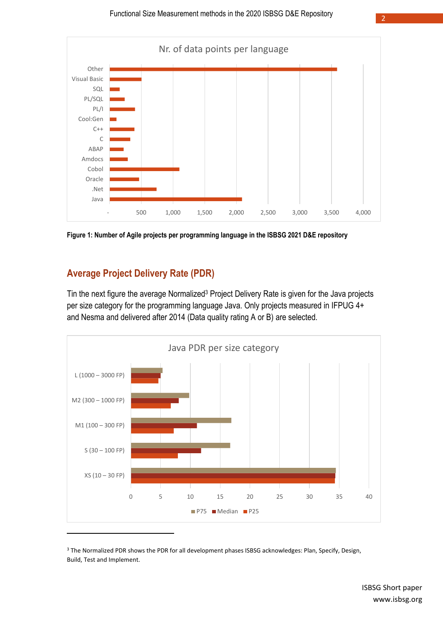

**Figure 1: Number of Agile projects per programming language in the ISBSG 2021 D&E repository**

# **Average Project Delivery Rate (PDR)**

Tin the next figure the average Normalized<sup>3</sup> Project Delivery Rate is given for the Java projects per size category for the programming language Java. Only projects measured in IFPUG 4+ and Nesma and delivered after 2014 (Data quality rating A or B) are selected.



<sup>&</sup>lt;sup>3</sup> The Normalized PDR shows the PDR for all development phases ISBSG acknowledges: Plan, Specify, Design, Build, Test and Implement.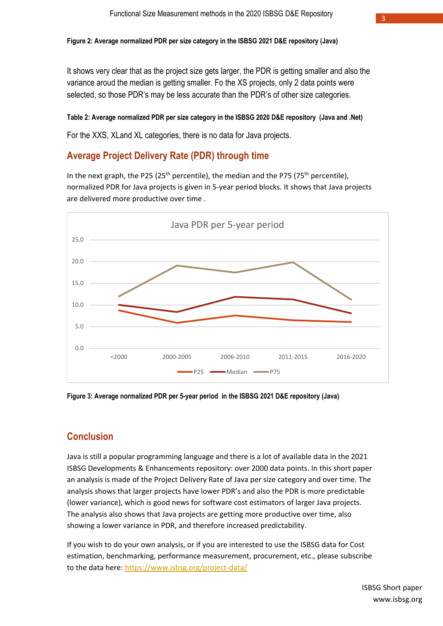It shows very clear that as the project size gets larger, the PDR is getting smaller and also the variance aroud the median is getting smaller. Fo the XS projects, only 2 data points were selected, so those PDR's may be less accurate than the PDR's of other size categories.

#### **Table 2: Average normalized PDR per size category in the ISBSG 2020 D&E repository (Java and .Net)**

For the XXS, XLand XL categories, there is no data for Java projects.

### **Average Project Delivery Rate (PDR) through time**

In the next graph, the P25 (25<sup>th</sup> percentile), the median and the P75 (75<sup>th</sup> percentile), normalized PDR for Java projects is given in 5-year period blocks. It shows that Java projects are delivered more productive over time .



**Figure 3: Average normalized PDR per 5-year period in the ISBSG 2021 D&E repository (Java)**

### **Conclusion**

Java is still a popular programming language and there is a lot of available data in the 2021 ISBSG Developments & Enhancements repository: over 2000 data points. In this short paper an analysis is made of the Project Delivery Rate of Java per size category and over time. The analysis shows that larger projects have lower PDR's and also the PDR is more predictable (lower variance), which is good news for software cost estimators of larger Java projects. The analysis also shows that Java projects are getting more productive over time, also showing a lower variance in PDR, and therefore increased predictability.

If you wish to do your own analysis, or if you are interested to use the ISBSG data for Cost estimation, benchmarking, performance measurement, procurement, etc., please subscribe to the data here:<https://www.isbsg.org/project-data/>